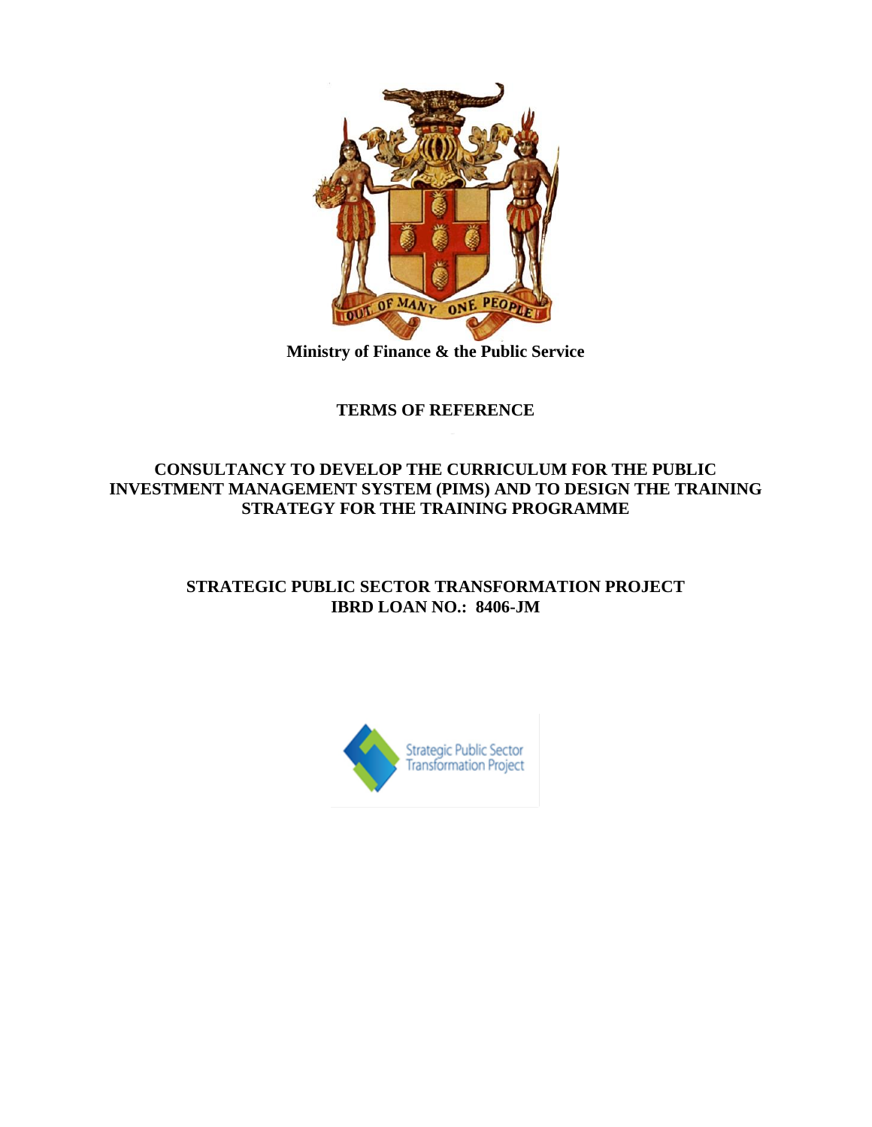

**Ministry of Finance & the Public Service**

# **TERMS OF REFERENCE**

## **CONSULTANCY TO DEVELOP THE CURRICULUM FOR THE PUBLIC INVESTMENT MANAGEMENT SYSTEM (PIMS) AND TO DESIGN THE TRAINING STRATEGY FOR THE TRAINING PROGRAMME**

# **STRATEGIC PUBLIC SECTOR TRANSFORMATION PROJECT IBRD LOAN NO.: 8406-JM**

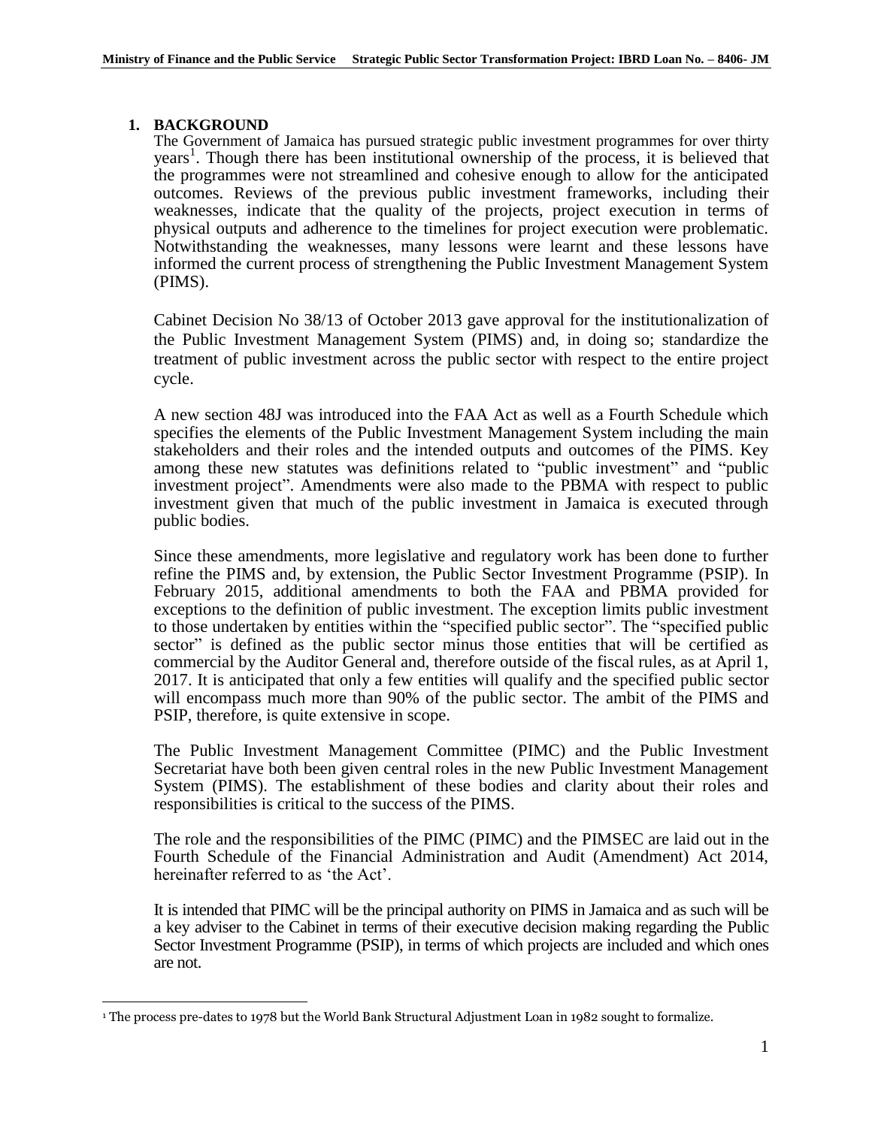#### **1. BACKGROUND**

The Government of Jamaica has pursued strategic public investment programmes for over thirty years 1 . Though there has been institutional ownership of the process, it is believed that the programmes were not streamlined and cohesive enough to allow for the anticipated outcomes. Reviews of the previous public investment frameworks, including their weaknesses, indicate that the quality of the projects, project execution in terms of physical outputs and adherence to the timelines for project execution were problematic. Notwithstanding the weaknesses, many lessons were learnt and these lessons have informed the current process of strengthening the Public Investment Management System (PIMS).

Cabinet Decision No 38/13 of October 2013 gave approval for the institutionalization of the Public Investment Management System (PIMS) and, in doing so; standardize the treatment of public investment across the public sector with respect to the entire project cycle.

A new section 48J was introduced into the FAA Act as well as a Fourth Schedule which specifies the elements of the Public Investment Management System including the main stakeholders and their roles and the intended outputs and outcomes of the PIMS. Key among these new statutes was definitions related to "public investment" and "public investment project". Amendments were also made to the PBMA with respect to public investment given that much of the public investment in Jamaica is executed through public bodies.

Since these amendments, more legislative and regulatory work has been done to further refine the PIMS and, by extension, the Public Sector Investment Programme (PSIP). In February 2015, additional amendments to both the FAA and PBMA provided for exceptions to the definition of public investment. The exception limits public investment to those undertaken by entities within the "specified public sector". The "specified public sector" is defined as the public sector minus those entities that will be certified as commercial by the Auditor General and, therefore outside of the fiscal rules, as at April 1, 2017. It is anticipated that only a few entities will qualify and the specified public sector will encompass much more than 90% of the public sector. The ambit of the PIMS and PSIP, therefore, is quite extensive in scope.

The Public Investment Management Committee (PIMC) and the Public Investment Secretariat have both been given central roles in the new Public Investment Management System (PIMS). The establishment of these bodies and clarity about their roles and responsibilities is critical to the success of the PIMS.

The role and the responsibilities of the PIMC (PIMC) and the PIMSEC are laid out in the Fourth Schedule of the Financial Administration and Audit (Amendment) Act 2014, hereinafter referred to as 'the Act'.

It is intended that PIMC will be the principal authority on PIMS in Jamaica and as such will be a key adviser to the Cabinet in terms of their executive decision making regarding the Public Sector Investment Programme (PSIP), in terms of which projects are included and which ones are not.

 $\overline{a}$ <sup>1</sup> The process pre-dates to 1978 but the World Bank Structural Adjustment Loan in 1982 sought to formalize.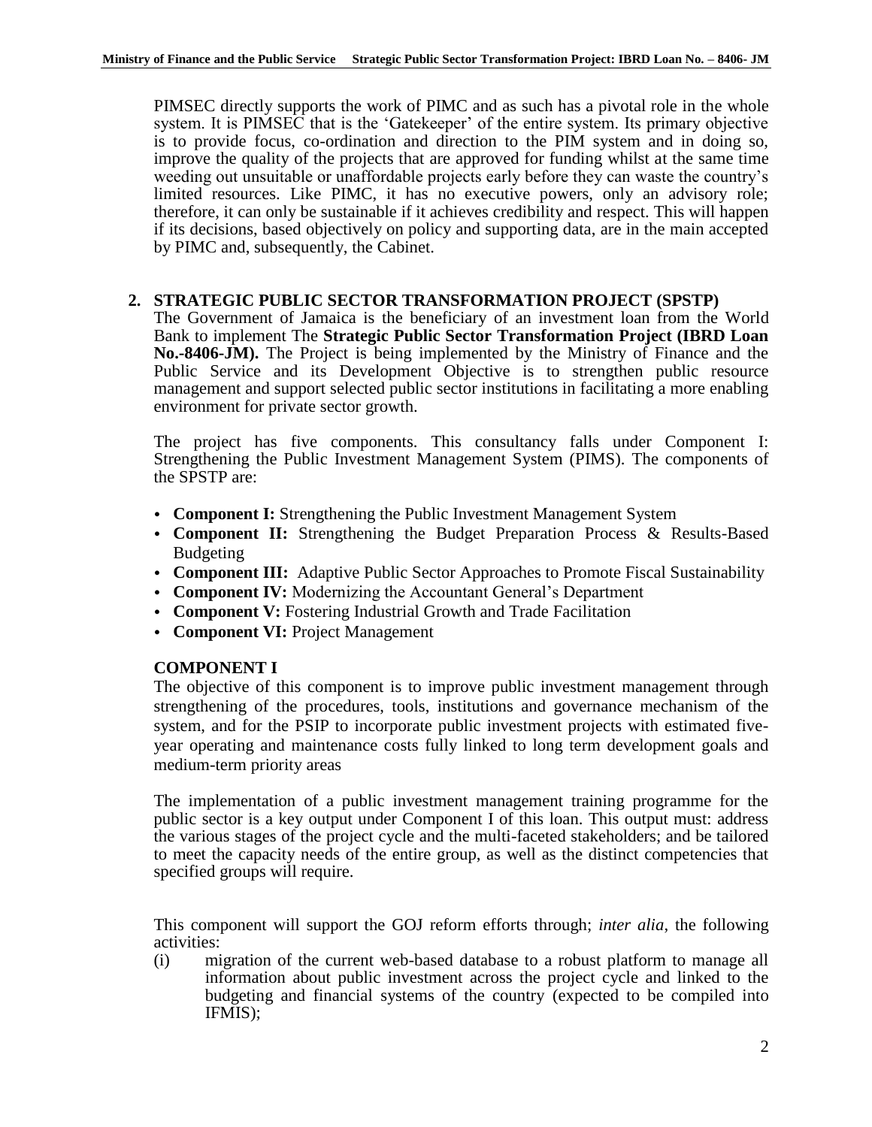PIMSEC directly supports the work of PIMC and as such has a pivotal role in the whole system. It is PIMSEC that is the 'Gatekeeper' of the entire system. Its primary objective is to provide focus, co-ordination and direction to the PIM system and in doing so, improve the quality of the projects that are approved for funding whilst at the same time weeding out unsuitable or unaffordable projects early before they can waste the country's limited resources. Like PIMC, it has no executive powers, only an advisory role; therefore, it can only be sustainable if it achieves credibility and respect. This will happen if its decisions, based objectively on policy and supporting data, are in the main accepted by PIMC and, subsequently, the Cabinet.

### **2. STRATEGIC PUBLIC SECTOR TRANSFORMATION PROJECT (SPSTP)**

The Government of Jamaica is the beneficiary of an investment loan from the World Bank to implement The **Strategic Public Sector Transformation Project (IBRD Loan No.-8406-JM).** The Project is being implemented by the Ministry of Finance and the Public Service and its Development Objective is to strengthen public resource management and support selected public sector institutions in facilitating a more enabling environment for private sector growth.

The project has five components. This consultancy falls under Component I: Strengthening the Public Investment Management System (PIMS). The components of the SPSTP are:

- **Component I:** Strengthening the Public Investment Management System
- **Component II:** Strengthening the Budget Preparation Process & Results-Based Budgeting
- **Component III:** Adaptive Public Sector Approaches to Promote Fiscal Sustainability
- **Component IV:** Modernizing the Accountant General's Department
- **Component V:** Fostering Industrial Growth and Trade Facilitation
- **Component VI:** Project Management

## **COMPONENT I**

The objective of this component is to improve public investment management through strengthening of the procedures, tools, institutions and governance mechanism of the system, and for the PSIP to incorporate public investment projects with estimated fiveyear operating and maintenance costs fully linked to long term development goals and medium-term priority areas

The implementation of a public investment management training programme for the public sector is a key output under Component I of this loan. This output must: address the various stages of the project cycle and the multi-faceted stakeholders; and be tailored to meet the capacity needs of the entire group, as well as the distinct competencies that specified groups will require.

This component will support the GOJ reform efforts through; *inter alia*, the following activities:

(i) migration of the current web-based database to a robust platform to manage all information about public investment across the project cycle and linked to the budgeting and financial systems of the country (expected to be compiled into IFMIS);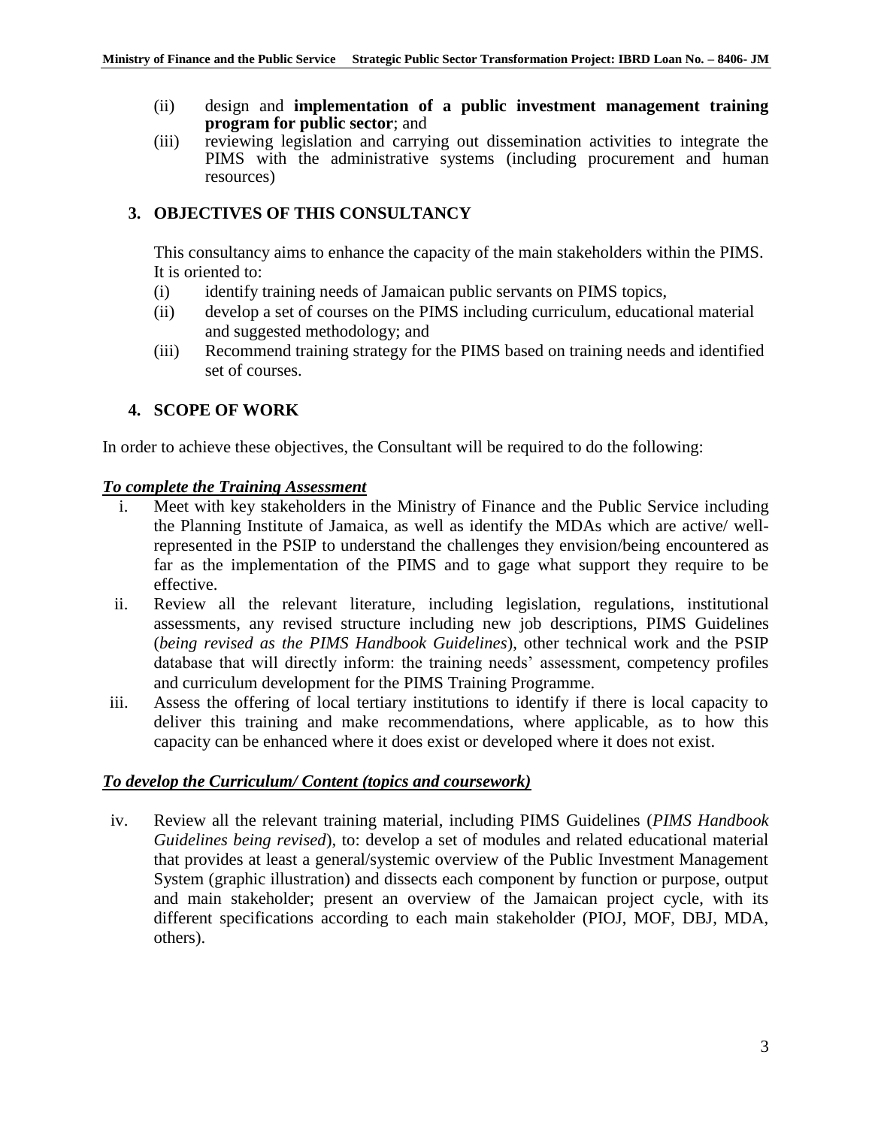- (ii) design and **implementation of a public investment management training program for public sector**; and
- (iii) reviewing legislation and carrying out dissemination activities to integrate the PIMS with the administrative systems (including procurement and human resources)

# **3. OBJECTIVES OF THIS CONSULTANCY**

This consultancy aims to enhance the capacity of the main stakeholders within the PIMS. It is oriented to:

- (i) identify training needs of Jamaican public servants on PIMS topics,
- (ii) develop a set of courses on the PIMS including curriculum, educational material and suggested methodology; and
- (iii) Recommend training strategy for the PIMS based on training needs and identified set of courses.

# **4. SCOPE OF WORK**

In order to achieve these objectives, the Consultant will be required to do the following:

### *To complete the Training Assessment*

- i. Meet with key stakeholders in the Ministry of Finance and the Public Service including the Planning Institute of Jamaica, as well as identify the MDAs which are active/ wellrepresented in the PSIP to understand the challenges they envision/being encountered as far as the implementation of the PIMS and to gage what support they require to be effective.
- ii. Review all the relevant literature, including legislation, regulations, institutional assessments, any revised structure including new job descriptions, PIMS Guidelines (*being revised as the PIMS Handbook Guidelines*), other technical work and the PSIP database that will directly inform: the training needs' assessment, competency profiles and curriculum development for the PIMS Training Programme.
- iii. Assess the offering of local tertiary institutions to identify if there is local capacity to deliver this training and make recommendations, where applicable, as to how this capacity can be enhanced where it does exist or developed where it does not exist.

## *To develop the Curriculum/ Content (topics and coursework)*

iv. Review all the relevant training material, including PIMS Guidelines (*PIMS Handbook Guidelines being revised*), to: develop a set of modules and related educational material that provides at least a general/systemic overview of the Public Investment Management System (graphic illustration) and dissects each component by function or purpose, output and main stakeholder; present an overview of the Jamaican project cycle, with its different specifications according to each main stakeholder (PIOJ, MOF, DBJ, MDA, others).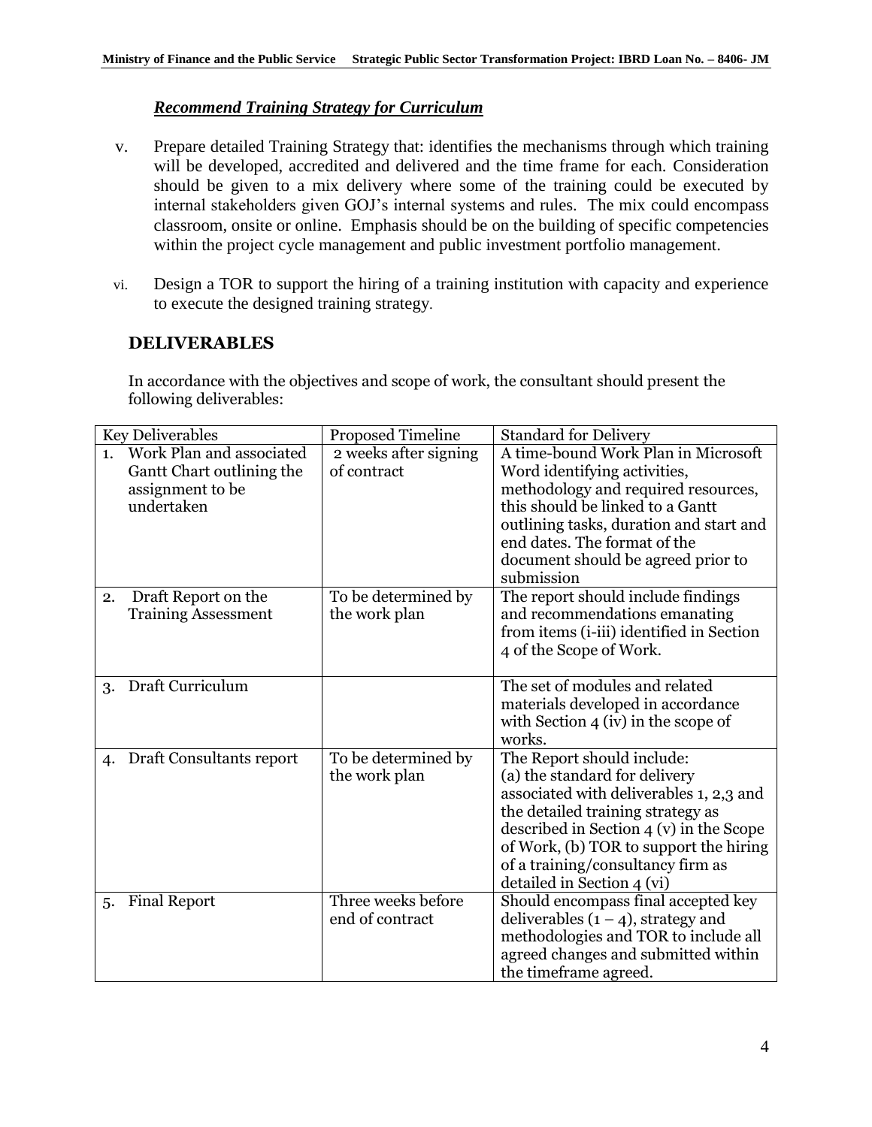## *Recommend Training Strategy for Curriculum*

- v. Prepare detailed Training Strategy that: identifies the mechanisms through which training will be developed, accredited and delivered and the time frame for each. Consideration should be given to a mix delivery where some of the training could be executed by internal stakeholders given GOJ's internal systems and rules. The mix could encompass classroom, onsite or online. Emphasis should be on the building of specific competencies within the project cycle management and public investment portfolio management.
- vi. Design a TOR to support the hiring of a training institution with capacity and experience to execute the designed training strategy.

### **DELIVERABLES**

In accordance with the objectives and scope of work, the consultant should present the following deliverables:

| <b>Key Deliverables</b>                                                                       | Proposed Timeline                     | <b>Standard for Delivery</b>                                                                                                                                                                                                                                                                         |
|-----------------------------------------------------------------------------------------------|---------------------------------------|------------------------------------------------------------------------------------------------------------------------------------------------------------------------------------------------------------------------------------------------------------------------------------------------------|
| Work Plan and associated<br>1.<br>Gantt Chart outlining the<br>assignment to be<br>undertaken | 2 weeks after signing<br>of contract  | A time-bound Work Plan in Microsoft<br>Word identifying activities,<br>methodology and required resources,<br>this should be linked to a Gantt<br>outlining tasks, duration and start and<br>end dates. The format of the<br>document should be agreed prior to<br>submission                        |
| Draft Report on the<br>2.<br><b>Training Assessment</b>                                       | To be determined by<br>the work plan  | The report should include findings<br>and recommendations emanating<br>from items (i-iii) identified in Section<br>4 of the Scope of Work.                                                                                                                                                           |
| Draft Curriculum<br>3.                                                                        |                                       | The set of modules and related<br>materials developed in accordance<br>with Section $4 \times$ (iv) in the scope of<br>works.                                                                                                                                                                        |
| Draft Consultants report<br>4.                                                                | To be determined by<br>the work plan  | The Report should include:<br>(a) the standard for delivery<br>associated with deliverables 1, 2,3 and<br>the detailed training strategy as<br>described in Section $4(v)$ in the Scope<br>of Work, (b) TOR to support the hiring<br>of a training/consultancy firm as<br>detailed in Section 4 (vi) |
| <b>Final Report</b><br>5.                                                                     | Three weeks before<br>end of contract | Should encompass final accepted key<br>deliverables $(1 - 4)$ , strategy and<br>methodologies and TOR to include all<br>agreed changes and submitted within<br>the timeframe agreed.                                                                                                                 |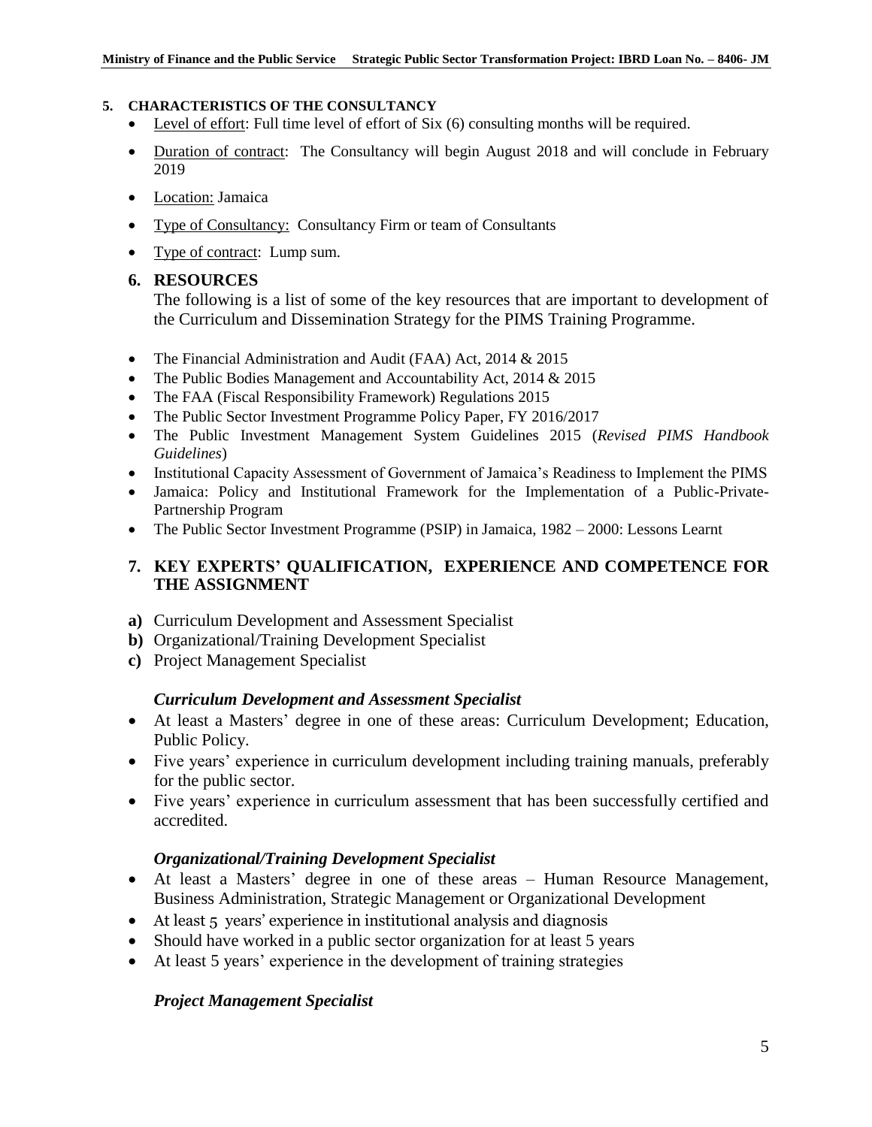#### **5. CHARACTERISTICS OF THE CONSULTANCY**

- Level of effort: Full time level of effort of Six (6) consulting months will be required.
- Duration of contract: The Consultancy will begin August 2018 and will conclude in February 2019
- Location: Jamaica
- Type of Consultancy: Consultancy Firm or team of Consultants
- Type of contract: Lump sum.

### **6. RESOURCES**

The following is a list of some of the key resources that are important to development of the Curriculum and Dissemination Strategy for the PIMS Training Programme.

- The Financial Administration and Audit (FAA) Act, 2014 & 2015
- The Public Bodies Management and Accountability Act, 2014 & 2015
- The FAA (Fiscal Responsibility Framework) Regulations 2015
- The Public Sector Investment Programme Policy Paper, FY 2016/2017
- The Public Investment Management System Guidelines 2015 (*Revised PIMS Handbook Guidelines*)
- Institutional Capacity Assessment of Government of Jamaica's Readiness to Implement the PIMS
- Jamaica: Policy and Institutional Framework for the Implementation of a Public-Private-Partnership Program
- The Public Sector Investment Programme (PSIP) in Jamaica, 1982 2000: Lessons Learnt

### **7. KEY EXPERTS' QUALIFICATION, EXPERIENCE AND COMPETENCE FOR THE ASSIGNMENT**

- **a)** Curriculum Development and Assessment Specialist
- **b)** Organizational/Training Development Specialist
- **c)** Project Management Specialist

### *Curriculum Development and Assessment Specialist*

- At least a Masters' degree in one of these areas: Curriculum Development; Education, Public Policy.
- Five years' experience in curriculum development including training manuals, preferably for the public sector.
- Five years' experience in curriculum assessment that has been successfully certified and accredited.

### *Organizational/Training Development Specialist*

- At least a Masters' degree in one of these areas Human Resource Management, Business Administration, Strategic Management or Organizational Development
- At least 5 years' experience in institutional analysis and diagnosis
- Should have worked in a public sector organization for at least 5 years
- At least 5 years' experience in the development of training strategies

### *Project Management Specialist*